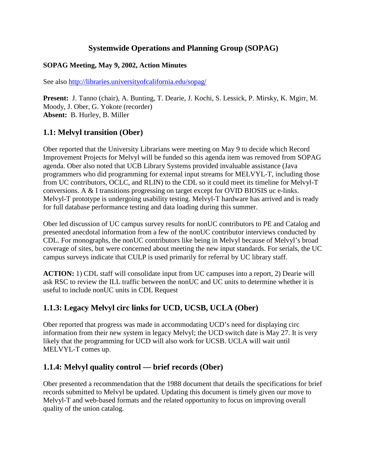## **Systemwide Operations and Planning Group (SOPAG)**

#### **SOPAG Meeting, May 9, 2002, Action Minutes**

See also http://libraries.universityofcalifornia.edu/sopag/

**Present:** J. Tanno (chair), A. Bunting, T. Dearie, J. Kochi, S. Lessick, P. Mirsky, K. Mgirr, M. Moody, J. Ober, G. Yokote (recorder) **Absent:** B. Hurley, B. Miller

#### **1.1: Melvyl transition (Ober)**

Ober reported that the University Librarians were meeting on May 9 to decide which Record Improvement Projects for Melvyl will be funded so this agenda item was removed from SOPAG agenda. Ober also noted that UCB Library Systems provided invaluable assistance (Java programmers who did programming for external input streams for MELVYL-T, including those from UC contributors, OCLC, and RLIN) to the CDL so it could meet its timeline for Melvyl-T conversions. A & I transitions progressing on target except for OVID BIOSIS uc e-links. Melvyl-T prototype is undergoing usability testing. Melvyl-T hardware has arrived and is ready for full database performance testing and data loading during this summer.

Ober led discussion of UC campus survey results for nonUC contributors to PE and Catalog and presented anecdotal information from a few of the nonUC contributor interviews conducted by CDL. For monographs, the nonUC contributors like being in Melvyl because of Melvyl's broad coverage of sites, but were concerned about meeting the new input standards. For serials, the UC campus surveys indicate that CULP is used primarily for referral by UC library staff.

**ACTION:** 1) CDL staff will consolidate input from UC campuses into a report, 2) Dearie will ask RSC to review the ILL traffic between the nonUC and UC units to determine whether it is useful to include nonUC units in CDL Request

## **1.1.3: Legacy Melvyl circ links for UCD, UCSB, UCLA (Ober)**

Ober reported that progress was made in accommodating UCD's need for displaying circ information from their new system in legacy Melvyl; the UCD switch date is May 27. It is very likely that the programming for UCD will also work for UCSB. UCLA will wait until MELVYL-T comes up.

## **1.1.4: Melvyl quality control — brief records (Ober)**

Ober presented a recommendation that the 1988 document that details the specifications for brief records submitted to Melvyl be updated. Updating this document is timely given our move to Melvyl-T and web-based formats and the related opportunity to focus on improving overall quality of the union catalog.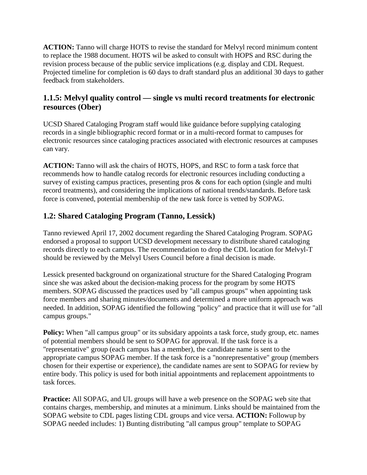**ACTION:** Tanno will charge HOTS to revise the standard for Melvyl record minimum content to replace the 1988 document. HOTS wil be asked to consult with HOPS and RSC during the revision process because of the public service implications (e.g. display and CDL Request. Projected timeline for completion is 60 days to draft standard plus an additional 30 days to gather feedback from stakeholders.

## **1.1.5: Melvyl quality control — single vs multi record treatments for electronic resources (Ober)**

UCSD Shared Cataloging Program staff would like guidance before supplying cataloging records in a single bibliographic record format or in a multi-record format to campuses for electronic resources since cataloging practices associated with electronic resources at campuses can vary.

**ACTION:** Tanno will ask the chairs of HOTS, HOPS, and RSC to form a task force that recommends how to handle catalog records for electronic resources including conducting a survey of existing campus practices, presenting pros & cons for each option (single and multi record treatments), and considering the implications of national trends/standards. Before task force is convened, potential membership of the new task force is vetted by SOPAG.

# **1.2: Shared Cataloging Program (Tanno, Lessick)**

Tanno reviewed April 17, 2002 document regarding the Shared Cataloging Program. SOPAG endorsed a proposal to support UCSD development necessary to distribute shared cataloging records directly to each campus. The recommendation to drop the CDL location for Melvyl-T should be reviewed by the Melvyl Users Council before a final decision is made.

Lessick presented background on organizational structure for the Shared Cataloging Program since she was asked about the decision-making process for the program by some HOTS members. SOPAG discussed the practices used by "all campus groups" when appointing task force members and sharing minutes/documents and determined a more uniform approach was needed. In addition, SOPAG identified the following "policy" and practice that it will use for "all campus groups."

**Policy:** When "all campus group" or its subsidary appoints a task force, study group, etc. names of potential members should be sent to SOPAG for approval. If the task force is a "representative" group (each campus has a member), the candidate name is sent to the appropriate campus SOPAG member. If the task force is a "nonrepresentative" group (members chosen for their expertise or experience), the candidate names are sent to SOPAG for review by entire body. This policy is used for both initial appointments and replacement appointments to task forces.

**Practice:** All SOPAG, and UL groups will have a web presence on the SOPAG web site that contains charges, membership, and minutes at a minimum. Links should be maintained from the SOPAG website to CDL pages listing CDL groups and vice versa. **ACTION:** Followup by SOPAG needed includes: 1) Bunting distributing "all campus group" template to SOPAG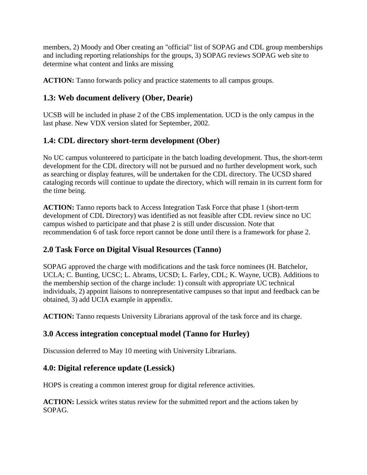members, 2) Moody and Ober creating an "official" list of SOPAG and CDL group memberships and including reporting relationships for the groups, 3) SOPAG reviews SOPAG web site to determine what content and links are missing

**ACTION:** Tanno forwards policy and practice statements to all campus groups.

# **1.3: Web document delivery (Ober, Dearie)**

UCSB will be included in phase 2 of the CBS implementation. UCD is the only campus in the last phase. New VDX version slated for September, 2002.

# **1.4: CDL directory short-term development (Ober)**

No UC campus volunteered to participate in the batch loading development. Thus, the short-term development for the CDL directory will not be pursued and no further development work, such as searching or display features, will be undertaken for the CDL directory. The UCSD shared cataloging records will continue to update the directory, which will remain in its current form for the time being.

**ACTION:** Tanno reports back to Access Integration Task Force that phase 1 (short-term development of CDL Directory) was identified as not feasible after CDL review since no UC campus wished to participate and that phase 2 is still under discussion. Note that recommendation 6 of task force report cannot be done until there is a framework for phase 2.

# **2.0 Task Force on Digital Visual Resources (Tanno)**

SOPAG approved the charge with modifications and the task force nominees (H. Batchelor, UCLA; C. Bunting, UCSC; L. Abrams, UCSD; L. Farley, CDL; K. Wayne, UCB). Additions to the membership section of the charge include: 1) consult with appropriate UC technical individuals, 2) appoint liaisons to nonrepresentative campuses so that input and feedback can be obtained, 3) add UCIA example in appendix.

**ACTION:** Tanno requests University Librarians approval of the task force and its charge.

# **3.0 Access integration conceptual model (Tanno for Hurley)**

Discussion deferred to May 10 meeting with University Librarians.

## **4.0: Digital reference update (Lessick)**

HOPS is creating a common interest group for digital reference activities.

**ACTION:** Lessick writes status review for the submitted report and the actions taken by SOPAG.